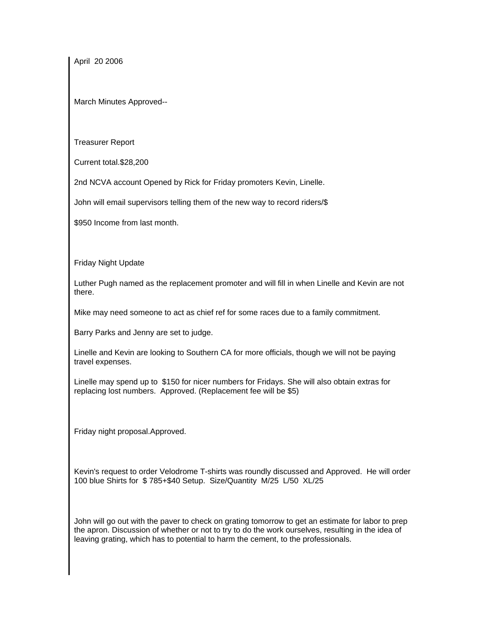April 20 2006

March Minutes Approved--

Treasurer Report

Current total.\$28,200

2nd NCVA account Opened by Rick for Friday promoters Kevin, Linelle.

John will email supervisors telling them of the new way to record riders/\$

\$950 Income from last month.

Friday Night Update

Luther Pugh named as the replacement promoter and will fill in when Linelle and Kevin are not there.

Mike may need someone to act as chief ref for some races due to a family commitment.

Barry Parks and Jenny are set to judge.

Linelle and Kevin are looking to Southern CA for more officials, though we will not be paying travel expenses.

Linelle may spend up to \$150 for nicer numbers for Fridays. She will also obtain extras for replacing lost numbers. Approved. (Replacement fee will be \$5)

Friday night proposal.Approved.

Kevin's request to order Velodrome T-shirts was roundly discussed and Approved. He will order 100 blue Shirts for \$ 785+\$40 Setup. Size/Quantity M/25 L/50 XL/25

John will go out with the paver to check on grating tomorrow to get an estimate for labor to prep the apron. Discussion of whether or not to try to do the work ourselves, resulting in the idea of leaving grating, which has to potential to harm the cement, to the professionals.